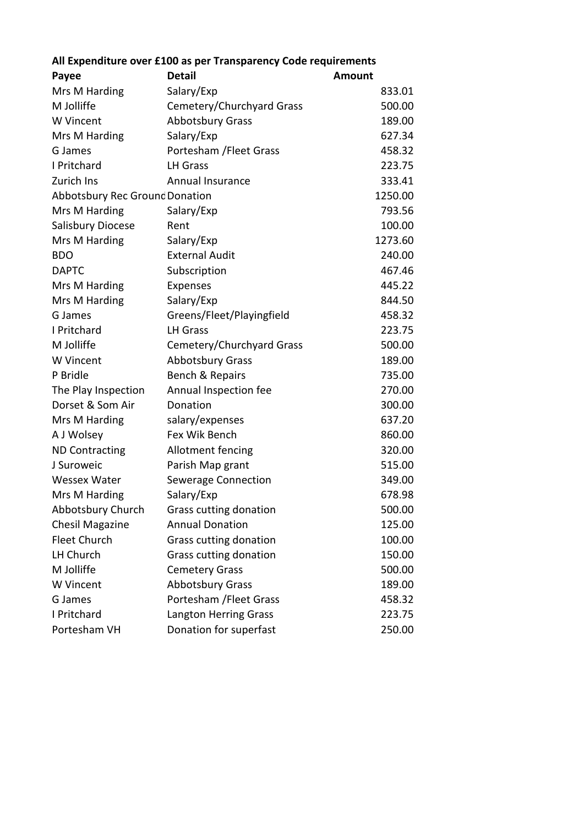| All expenditure over £100 as per Transparency Code requirements |                           |               |  |
|-----------------------------------------------------------------|---------------------------|---------------|--|
| Payee                                                           | <b>Detail</b>             | <b>Amount</b> |  |
| Mrs M Harding                                                   | Salary/Exp                | 833.01        |  |
| M Jolliffe                                                      | Cemetery/Churchyard Grass | 500.00        |  |
| W Vincent                                                       | <b>Abbotsbury Grass</b>   | 189.00        |  |
| Mrs M Harding                                                   | Salary/Exp                | 627.34        |  |
| G James                                                         | Portesham / Fleet Grass   | 458.32        |  |
| I Pritchard                                                     | <b>LH Grass</b>           | 223.75        |  |
| Zurich Ins                                                      | <b>Annual Insurance</b>   | 333.41        |  |
| Abbotsbury Rec Grounc Donation                                  |                           | 1250.00       |  |
| Mrs M Harding                                                   | Salary/Exp                | 793.56        |  |
| Salisbury Diocese                                               | Rent                      | 100.00        |  |
| Mrs M Harding                                                   | Salary/Exp                | 1273.60       |  |
| <b>BDO</b>                                                      | <b>External Audit</b>     | 240.00        |  |
| <b>DAPTC</b>                                                    | Subscription              | 467.46        |  |
| Mrs M Harding                                                   | Expenses                  | 445.22        |  |
| Mrs M Harding                                                   | Salary/Exp                | 844.50        |  |
| G James                                                         | Greens/Fleet/Playingfield | 458.32        |  |
| I Pritchard                                                     | <b>LH Grass</b>           | 223.75        |  |
| M Jolliffe                                                      | Cemetery/Churchyard Grass | 500.00        |  |
| W Vincent                                                       | <b>Abbotsbury Grass</b>   | 189.00        |  |
| P Bridle                                                        | Bench & Repairs           | 735.00        |  |
| The Play Inspection                                             | Annual Inspection fee     | 270.00        |  |
| Dorset & Som Air                                                | Donation                  | 300.00        |  |
| Mrs M Harding                                                   | salary/expenses           | 637.20        |  |
| A J Wolsey                                                      | Fex Wik Bench             | 860.00        |  |
| <b>ND Contracting</b>                                           | Allotment fencing         | 320.00        |  |
| J Suroweic                                                      | Parish Map grant          | 515.00        |  |
| <b>Wessex Water</b>                                             | Sewerage Connection       | 349.00        |  |
| Mrs M Harding                                                   | Salary/Exp                | 678.98        |  |
| Abbotsbury Church                                               | Grass cutting donation    | 500.00        |  |
| <b>Chesil Magazine</b>                                          | <b>Annual Donation</b>    | 125.00        |  |
| <b>Fleet Church</b>                                             | Grass cutting donation    | 100.00        |  |
| LH Church                                                       | Grass cutting donation    | 150.00        |  |
| M Jolliffe                                                      | <b>Cemetery Grass</b>     | 500.00        |  |
| W Vincent                                                       | <b>Abbotsbury Grass</b>   | 189.00        |  |
| G James                                                         | Portesham / Fleet Grass   | 458.32        |  |
| I Pritchard                                                     | Langton Herring Grass     | 223.75        |  |
| Portesham VH                                                    | Donation for superfast    | 250.00        |  |

## **All Expenditure over £100 as per Transparency Code requirements**